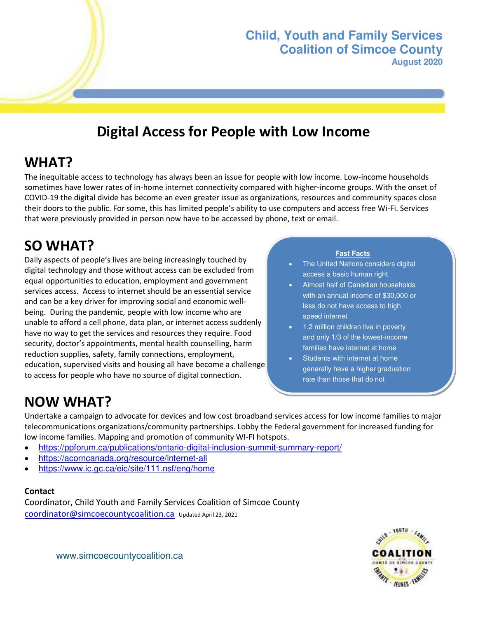

## **Digital Access for People with Low Income**

## **WHAT?**

The inequitable access to technology has always been an issue for people with low income. Low-income households sometimes have lower rates of in-home internet connectivity compared with higher-income groups. With the onset of COVID-19 the digital divide has become an even greater issue as organizations, resources and community spaces close their doors to the public. For some, this has limited people's ability to use computers and access free Wi-Fi. Services that were previously provided in person now have to be accessed by phone, text or email.

# **SO WHAT?**

Daily aspects of people's lives are being increasingly touched by digital technology and those without access can be excluded from equal opportunities to education, employment and government services access. Access to internet should be an essential service and can be a key driver for improving social and economic wellbeing. During the pandemic, people with low income who are unable to afford a cell phone, data plan, or internet access suddenly have no way to get the services and resources they require. Food security, doctor's appointments, mental health counselling, harm reduction supplies, safety, family connections, employment, education, supervised visits and housing all have become a challenge to access for people who have no source of digital connection.

#### **Fast Facts**

- The United Nations considers digital access a basic human right
- Almost half of Canadian households with an annual income of \$30,000 or less do not have access to high speed internet
- 1.2 million children live in poverty and only 1/3 of the lowest-income families have internet at home
- Students with internet at home generally have a higher graduation rate than those that do not

# **NOW WHAT?**

Undertake a campaign to advocate for devices and low cost broadband services access for low income families to major telecommunications organizations/community partnerships. Lobby the Federal government for increased funding for low income families. Mapping and promotion of community WI-FI hotspots.

- <https://ppforum.ca/publications/ontario-digital-inclusion-summit-summary-report/>
- <https://acorncanada.org/resource/internet-all>
- <https://www.ic.gc.ca/eic/site/111.nsf/eng/home>

#### **Contact**

Coordinator, Child Youth and Family Services Coalition of Simcoe County [coordinator@simcoecountycoalition.ca](mailto:coordinator@simcoecountycoalition.ca) Updated April 23, 2021



[www.simcoecountycoalition.ca](http://www.simcoecountycoalition.ca/)